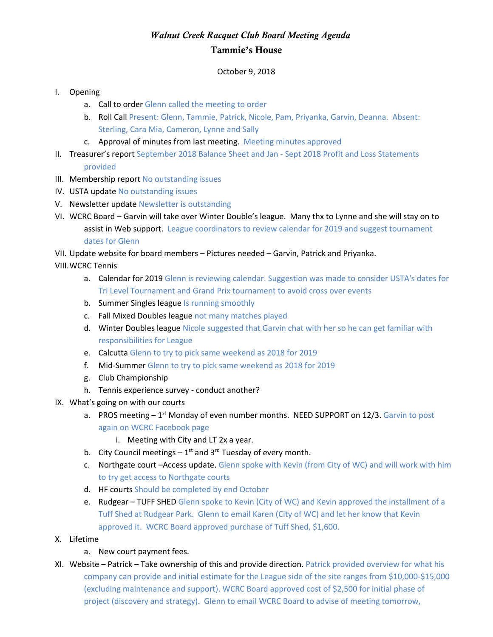## *Walnut Creek Racquet Club Board Meeting Agenda* Tammie's House

October 9, 2018

## I. Opening

- a. Call to order Glenn called the meeting to order
- b. Roll Call Present: Glenn, Tammie, Patrick, Nicole, Pam, Priyanka, Garvin, Deanna. Absent: Sterling, Cara Mia, Cameron, Lynne and Sally
- c. Approval of minutes from last meeting. Meeting minutes approved
- II. Treasurer's report September 2018 Balance Sheet and Jan Sept 2018 Profit and Loss Statements provided
- III. Membership report No outstanding issues
- IV. USTA update No outstanding issues
- V. Newsletter update Newsletter is outstanding
- VI. WCRC Board Garvin will take over Winter Double's league. Many thx to Lynne and she will stay on to assist in Web support. League coordinators to review calendar for 2019 and suggest tournament dates for Glenn
- VII. Update website for board members Pictures needed Garvin, Patrick and Priyanka.

## VIII.WCRC Tennis

- a. Calendar for 2019 Glenn is reviewing calendar. Suggestion was made to consider USTA's dates for Tri Level Tournament and Grand Prix tournament to avoid cross over events
- b. Summer Singles league Is running smoothly
- c. Fall Mixed Doubles league not many matches played
- d. Winter Doubles league Nicole suggested that Garvin chat with her so he can get familiar with responsibilities for League
- e. Calcutta Glenn to try to pick same weekend as 2018 for 2019
- f. Mid-Summer Glenn to try to pick same weekend as 2018 for 2019
- g. Club Championship
- h. Tennis experience survey conduct another?
- IX. What's going on with our courts
	- a. PROS meeting  $-1^{st}$  Monday of even number months. NEED SUPPORT on 12/3. Garvin to post again on WCRC Facebook page
		- i. Meeting with City and LT 2x a year.
	- b. City Council meetings  $-1^{st}$  and 3<sup>rd</sup> Tuesday of every month.
	- c. Northgate court –Access update. Glenn spoke with Kevin (from City of WC) and will work with him to try get access to Northgate courts
	- d. HF courts Should be completed by end October
	- e. Rudgear TUFF SHED Glenn spoke to Kevin (City of WC) and Kevin approved the installment of a Tuff Shed at Rudgear Park. Glenn to email Karen (City of WC) and let her know that Kevin approved it. WCRC Board approved purchase of Tuff Shed, \$1,600.
- X. Lifetime
	- a. New court payment fees.
- XI. Website Patrick Take ownership of this and provide direction. Patrick provided overview for what his company can provide and initial estimate for the League side of the site ranges from \$10,000-\$15,000 (excluding maintenance and support). WCRC Board approved cost of \$2,500 for initial phase of project (discovery and strategy). Glenn to email WCRC Board to advise of meeting tomorrow,